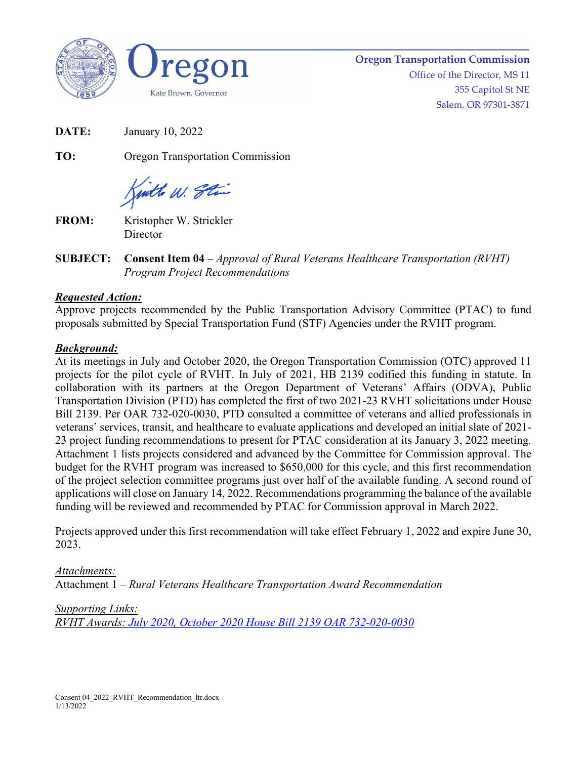



**Oregon Transportation Commission** Office of the Director, MS 11 355 Capitol St NE Salem, OR 97301-3871

**DATE:** January 10, 2022

**TO:** Oregon Transportation Commission

Kinthe W. Stin

**FROM:** Kristopher W. Strickler **Director** 

**SUBJECT: Consent Item 04** – *Approval of Rural Veterans Healthcare Transportation (RVHT) Program Project Recommendations*

## *Requested Action:*

Approve projects recommended by the Public Transportation Advisory Committee (PTAC) to fund proposals submitted by Special Transportation Fund (STF) Agencies under the RVHT program.

## *Background:*

At its meetings in July and October 2020, the Oregon Transportation Commission (OTC) approved 11 projects for the pilot cycle of RVHT. In July of 2021, HB 2139 codified this funding in statute. In collaboration with its partners at the Oregon Department of Veterans' Affairs (ODVA), Public Transportation Division (PTD) has completed the first of two 2021-23 RVHT solicitations under House Bill 2139. Per OAR 732-020-0030, PTD consulted a committee of veterans and allied professionals in veterans' services, transit, and healthcare to evaluate applications and developed an initial slate of 2021- 23 project funding recommendations to present for PTAC consideration at its January 3, 2022 meeting. Attachment 1 lists projects considered and advanced by the Committee for Commission approval. The budget for the RVHT program was increased to \$650,000 for this cycle, and this first recommendation of the project selection committee programs just over half of the available funding. A second round of applications will close on January 14, 2022. Recommendations programming the balance of the available funding will be reviewed and recommended by PTAC for Commission approval in March 2022.

Projects approved under this first recommendation will take effect February 1, 2022 and expire June 30, 2023.

## *Attachments:*

Attachment 1 – *Rural Veterans Healthcare Transportation Award Recommendation*

*Supporting Links:*

*RVHT Awards: [July 2020,](https://www.oregon.gov/odot/RPTD/RPTD%20Document%20Library/RVHT-Award-Announcement-Draft.pdf) [October 2020](https://www.oregon.gov/odot/Get-Involved/OTCSupportMaterials/Consent_08_Attach_01_RVHT_Round_2_Award_Recommendations.pdf) [House Bill 2139](https://olis.oregonlegislature.gov/liz/2021R1/Downloads/MeasureDocument/HB2139) [OAR 732-020-0030](https://oregon.public.law/rules/oar_732-020-0030)*